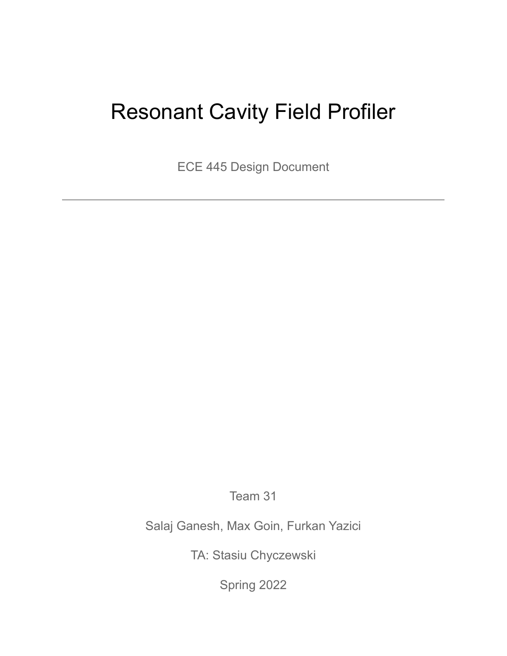# Resonant Cavity Field Profiler

ECE 445 Design Document

Team 31

Salaj Ganesh, Max Goin, Furkan Yazici

TA: Stasiu Chyczewski

Spring 2022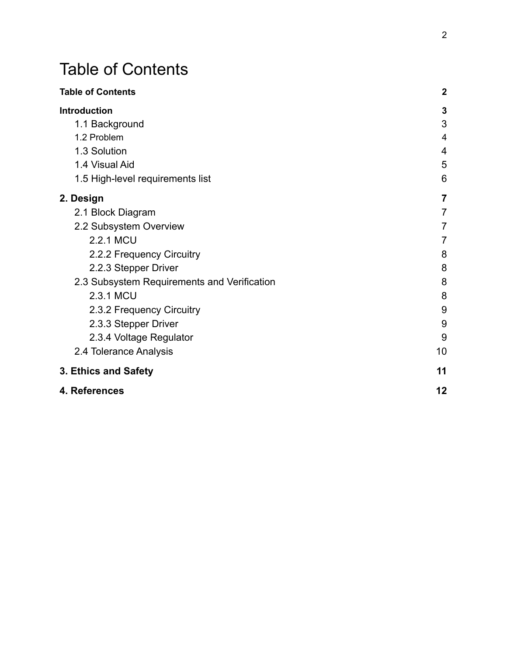# <span id="page-1-0"></span>Table of Contents

| <b>Table of Contents</b>                    | $\overline{2}$ |
|---------------------------------------------|----------------|
| <b>Introduction</b>                         | $\mathbf{3}$   |
| 1.1 Background                              | 3              |
| 1.2 Problem                                 | $\overline{4}$ |
| 1.3 Solution                                | 4              |
| 1.4 Visual Aid                              | 5              |
| 1.5 High-level requirements list            | 6              |
| 2. Design                                   | $\overline{7}$ |
| 2.1 Block Diagram                           | 7              |
| 2.2 Subsystem Overview                      | 7              |
| 2.2.1 MCU                                   | 7              |
| 2.2.2 Frequency Circuitry                   | 8              |
| 2.2.3 Stepper Driver                        | 8              |
| 2.3 Subsystem Requirements and Verification | 8              |
| 2.3.1 MCU                                   | 8              |
| 2.3.2 Frequency Circuitry                   | 9              |
| 2.3.3 Stepper Driver                        | 9              |
| 2.3.4 Voltage Regulator                     | 9              |
| 2.4 Tolerance Analysis                      | 10             |
| 3. Ethics and Safety                        | 11             |
| 4. References                               | 12             |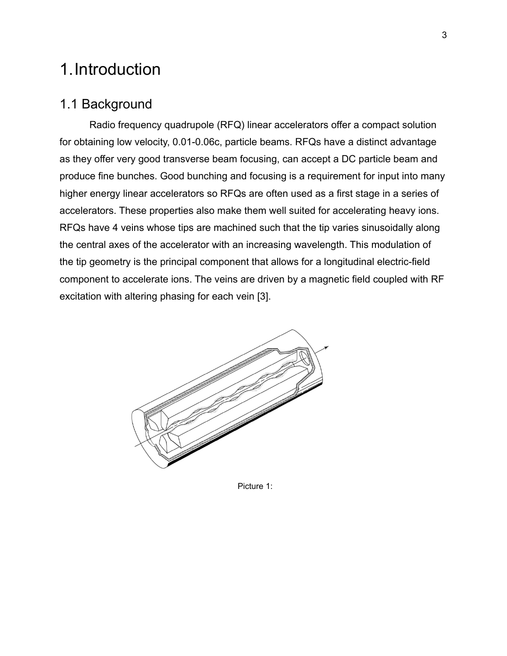# <span id="page-2-0"></span>1.Introduction

#### <span id="page-2-1"></span>1.1 Background

Radio frequency quadrupole (RFQ) linear accelerators offer a compact solution for obtaining low velocity, 0.01-0.06c, particle beams. RFQs have a distinct advantage as they offer very good transverse beam focusing, can accept a DC particle beam and produce fine bunches. Good bunching and focusing is a requirement for input into many higher energy linear accelerators so RFQs are often used as a first stage in a series of accelerators. These properties also make them well suited for accelerating heavy ions. RFQs have 4 veins whose tips are machined such that the tip varies sinusoidally along the central axes of the accelerator with an increasing wavelength. This modulation of the tip geometry is the principal component that allows for a longitudinal electric-field component to accelerate ions. The veins are driven by a magnetic field coupled with RF excitation with altering phasing for each vein [3].



Picture 1: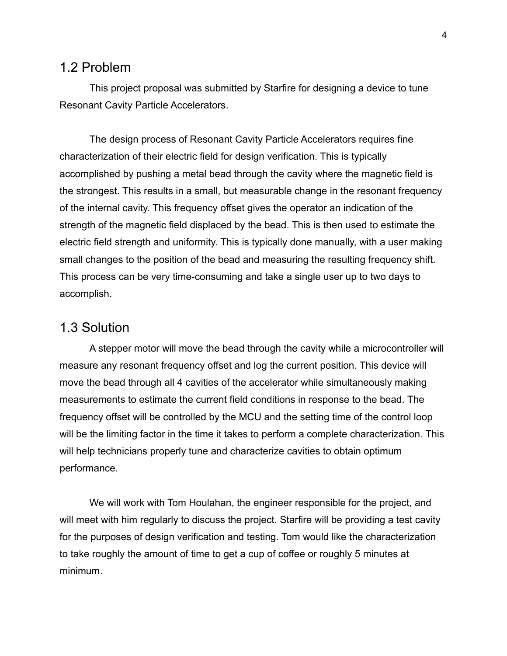#### <span id="page-3-0"></span>1.2 Problem

This project proposal was submitted by Starfire for designing a device to tune Resonant Cavity Particle Accelerators.

The design process of Resonant Cavity Particle Accelerators requires fine characterization of their electric field for design verification. This is typically accomplished by pushing a metal bead through the cavity where the magnetic field is the strongest. This results in a small, but measurable change in the resonant frequency of the internal cavity. This frequency offset gives the operator an indication of the strength of the magnetic field displaced by the bead. This is then used to estimate the electric field strength and uniformity. This is typically done manually, with a user making small changes to the position of the bead and measuring the resulting frequency shift. This process can be very time-consuming and take a single user up to two days to accomplish.

### <span id="page-3-1"></span>1.3 Solution

A stepper motor will move the bead through the cavity while a microcontroller will measure any resonant frequency offset and log the current position. This device will move the bead through all 4 cavities of the accelerator while simultaneously making measurements to estimate the current field conditions in response to the bead. The frequency offset will be controlled by the MCU and the setting time of the control loop will be the limiting factor in the time it takes to perform a complete characterization. This will help technicians properly tune and characterize cavities to obtain optimum performance.

We will work with Tom Houlahan, the engineer responsible for the project, and will meet with him regularly to discuss the project. Starfire will be providing a test cavity for the purposes of design verification and testing. Tom would like the characterization to take roughly the amount of time to get a cup of coffee or roughly 5 minutes at minimum.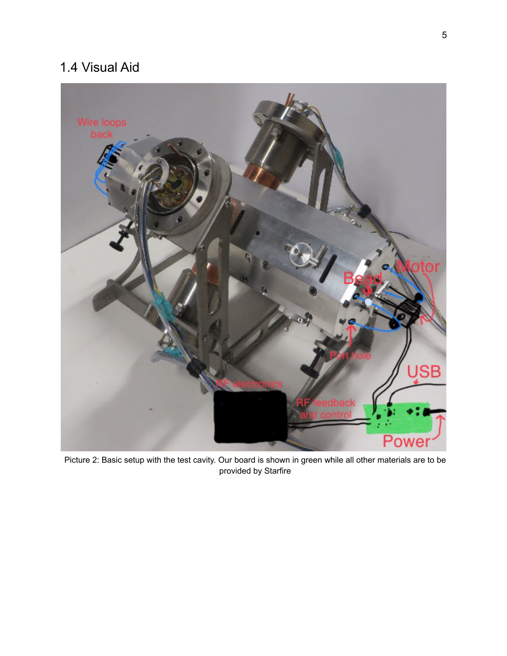## <span id="page-4-0"></span>1.4 Visual Aid



Picture 2: Basic setup with the test cavity. Our board is shown in green while all other materials are to be provided by Starfire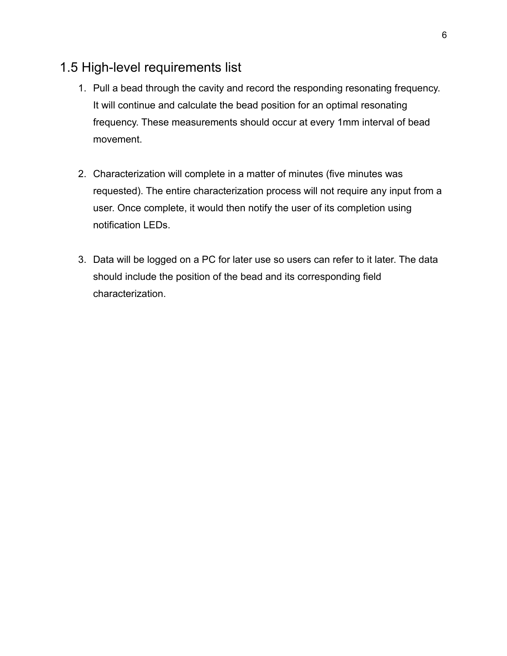### <span id="page-5-0"></span>1.5 High-level requirements list

- 1. Pull a bead through the cavity and record the responding resonating frequency. It will continue and calculate the bead position for an optimal resonating frequency. These measurements should occur at every 1mm interval of bead movement.
- 2. Characterization will complete in a matter of minutes (five minutes was requested). The entire characterization process will not require any input from a user. Once complete, it would then notify the user of its completion using notification LEDs.
- 3. Data will be logged on a PC for later use so users can refer to it later. The data should include the position of the bead and its corresponding field characterization.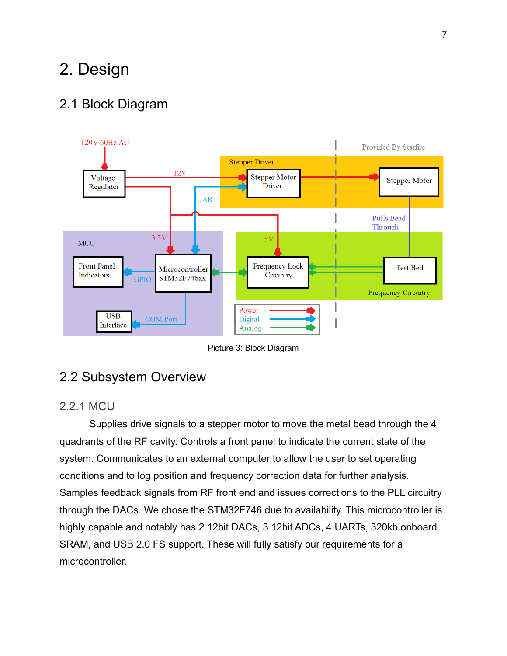# <span id="page-6-0"></span>2. Design

### <span id="page-6-1"></span>2.1 Block Diagram



Picture 3: Block Diagram

#### <span id="page-6-2"></span>2.2 Subsystem Overview

#### <span id="page-6-3"></span>2.2.1 MCU

Supplies drive signals to a stepper motor to move the metal bead through the 4 quadrants of the RF cavity. Controls a front panel to indicate the current state of the system. Communicates to an external computer to allow the user to set operating conditions and to log position and frequency correction data for further analysis. Samples feedback signals from RF front end and issues corrections to the PLL circuitry through the DACs. We chose the STM32F746 due to availability. This microcontroller is highly capable and notably has 2 12bit DACs, 3 12bit ADCs, 4 UARTs, 320kb onboard SRAM, and USB 2.0 FS support. These will fully satisfy our requirements for a microcontroller.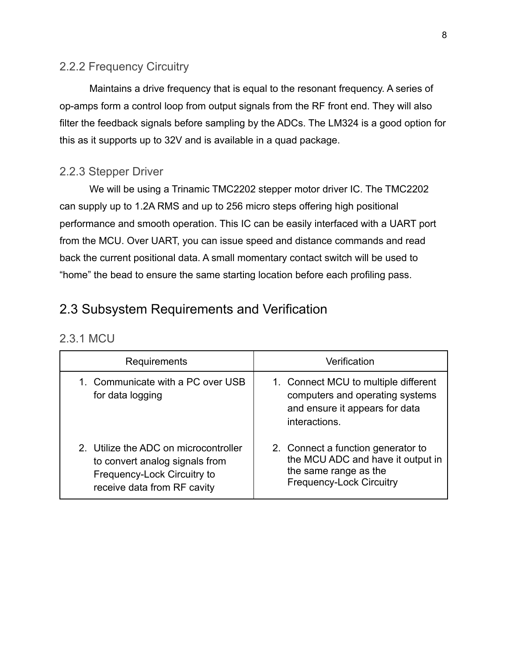#### <span id="page-7-0"></span>2.2.2 Frequency Circuitry

Maintains a drive frequency that is equal to the resonant frequency. A series of op-amps form a control loop from output signals from the RF front end. They will also filter the feedback signals before sampling by the ADCs. The LM324 is a good option for this as it supports up to 32V and is available in a quad package.

#### <span id="page-7-1"></span>2.2.3 Stepper Driver

We will be using a Trinamic TMC2202 stepper motor driver IC. The TMC2202 can supply up to 1.2A RMS and up to 256 micro steps offering high positional performance and smooth operation. This IC can be easily interfaced with a UART port from the MCU. Over UART, you can issue speed and distance commands and read back the current positional data. A small momentary contact switch will be used to "home" the bead to ensure the same starting location before each profiling pass.

### <span id="page-7-2"></span>2.3 Subsystem Requirements and Verification

#### <span id="page-7-3"></span>2.3.1 MCU

| Requirements                                                                                                                          | Verification                                                                                                                        |
|---------------------------------------------------------------------------------------------------------------------------------------|-------------------------------------------------------------------------------------------------------------------------------------|
| 1. Communicate with a PC over USB<br>for data logging                                                                                 | 1. Connect MCU to multiple different<br>computers and operating systems<br>and ensure it appears for data<br>interactions.          |
| 2. Utilize the ADC on microcontroller<br>to convert analog signals from<br>Frequency-Lock Circuitry to<br>receive data from RF cavity | 2. Connect a function generator to<br>the MCU ADC and have it output in<br>the same range as the<br><b>Frequency-Lock Circuitry</b> |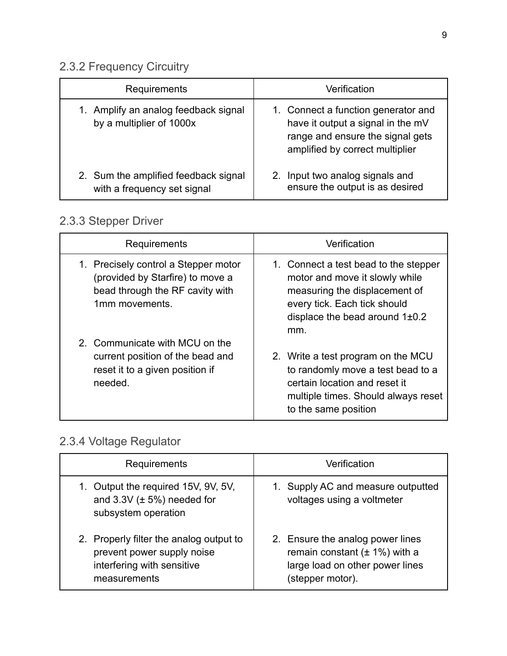# <span id="page-8-0"></span>2.3.2 Frequency Circuitry

| Requirements                                                        | Verification                                                                                                                                    |
|---------------------------------------------------------------------|-------------------------------------------------------------------------------------------------------------------------------------------------|
| 1. Amplify an analog feedback signal<br>by a multiplier of 1000x    | 1. Connect a function generator and<br>have it output a signal in the mV<br>range and ensure the signal gets<br>amplified by correct multiplier |
| 2. Sum the amplified feedback signal<br>with a frequency set signal | 2. Input two analog signals and<br>ensure the output is as desired                                                                              |

## <span id="page-8-1"></span>2.3.3 Stepper Driver

| Requirements                                                                                                                  | Verification                                                                                                                                                                          |
|-------------------------------------------------------------------------------------------------------------------------------|---------------------------------------------------------------------------------------------------------------------------------------------------------------------------------------|
| 1. Precisely control a Stepper motor<br>(provided by Starfire) to move a<br>bead through the RF cavity with<br>1mm movements. | 1. Connect a test bead to the stepper<br>motor and move it slowly while<br>measuring the displacement of<br>every tick. Each tick should<br>displace the bead around $1\pm0.2$<br>mm. |
| 2. Communicate with MCU on the<br>current position of the bead and<br>reset it to a given position if<br>needed.              | 2. Write a test program on the MCU<br>to randomly move a test bead to a<br>certain location and reset it<br>multiple times. Should always reset<br>to the same position               |

# <span id="page-8-2"></span>2.3.4 Voltage Regulator

| Requirements                                                                                                        | Verification                                                                                                                  |
|---------------------------------------------------------------------------------------------------------------------|-------------------------------------------------------------------------------------------------------------------------------|
| 1. Output the required 15V, 9V, 5V,<br>and $3.3V$ ( $\pm$ 5%) needed for<br>subsystem operation                     | 1. Supply AC and measure outputted<br>voltages using a voltmeter                                                              |
| 2. Properly filter the analog output to<br>prevent power supply noise<br>interfering with sensitive<br>measurements | 2. Ensure the analog power lines<br>remain constant $(\pm 1\%)$ with a<br>large load on other power lines<br>(stepper motor). |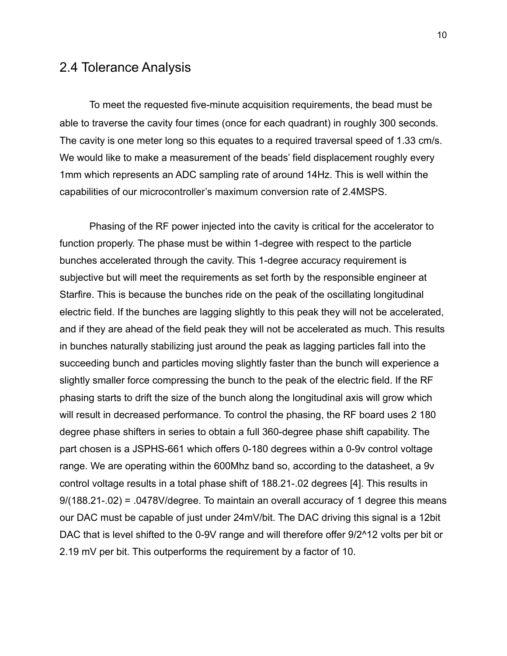#### <span id="page-9-0"></span>2.4 Tolerance Analysis

To meet the requested five-minute acquisition requirements, the bead must be able to traverse the cavity four times (once for each quadrant) in roughly 300 seconds. The cavity is one meter long so this equates to a required traversal speed of 1.33 cm/s. We would like to make a measurement of the beads' field displacement roughly every 1mm which represents an ADC sampling rate of around 14Hz. This is well within the capabilities of our microcontroller's maximum conversion rate of 2.4MSPS.

Phasing of the RF power injected into the cavity is critical for the accelerator to function properly. The phase must be within 1-degree with respect to the particle bunches accelerated through the cavity. This 1-degree accuracy requirement is subjective but will meet the requirements as set forth by the responsible engineer at Starfire. This is because the bunches ride on the peak of the oscillating longitudinal electric field. If the bunches are lagging slightly to this peak they will not be accelerated, and if they are ahead of the field peak they will not be accelerated as much. This results in bunches naturally stabilizing just around the peak as lagging particles fall into the succeeding bunch and particles moving slightly faster than the bunch will experience a slightly smaller force compressing the bunch to the peak of the electric field. If the RF phasing starts to drift the size of the bunch along the longitudinal axis will grow which will result in decreased performance. To control the phasing, the RF board uses 2 180 degree phase shifters in series to obtain a full 360-degree phase shift capability. The part chosen is a JSPHS-661 which offers 0-180 degrees within a 0-9v control voltage range. We are operating within the 600Mhz band so, according to the datasheet, a 9v control voltage results in a total phase shift of 188.21-.02 degrees [4]. This results in 9/(188.21-.02) = .0478V/degree. To maintain an overall accuracy of 1 degree this means our DAC must be capable of just under 24mV/bit. The DAC driving this signal is a 12bit DAC that is level shifted to the 0-9V range and will therefore offer 9/2^12 volts per bit or 2.19 mV per bit. This outperforms the requirement by a factor of 10.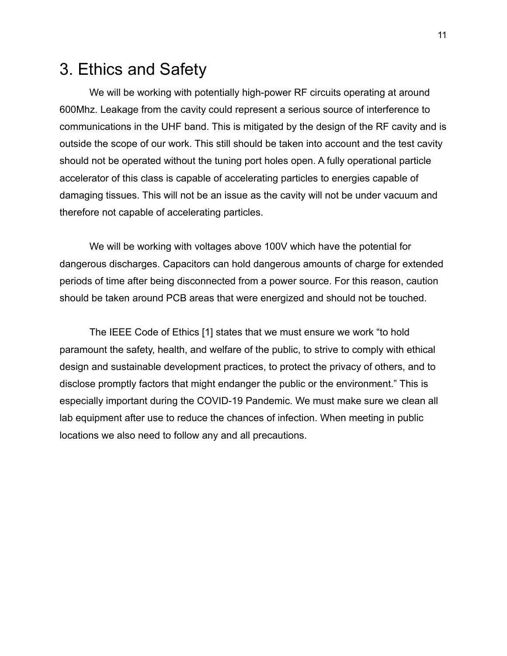# <span id="page-10-0"></span>3. Ethics and Safety

We will be working with potentially high-power RF circuits operating at around 600Mhz. Leakage from the cavity could represent a serious source of interference to communications in the UHF band. This is mitigated by the design of the RF cavity and is outside the scope of our work. This still should be taken into account and the test cavity should not be operated without the tuning port holes open. A fully operational particle accelerator of this class is capable of accelerating particles to energies capable of damaging tissues. This will not be an issue as the cavity will not be under vacuum and therefore not capable of accelerating particles.

We will be working with voltages above 100V which have the potential for dangerous discharges. Capacitors can hold dangerous amounts of charge for extended periods of time after being disconnected from a power source. For this reason, caution should be taken around PCB areas that were energized and should not be touched.

The IEEE Code of Ethics [1] states that we must ensure we work "to hold paramount the safety, health, and welfare of the public, to strive to comply with ethical design and sustainable development practices, to protect the privacy of others, and to disclose promptly factors that might endanger the public or the environment." This is especially important during the COVID-19 Pandemic. We must make sure we clean all lab equipment after use to reduce the chances of infection. When meeting in public locations we also need to follow any and all precautions.